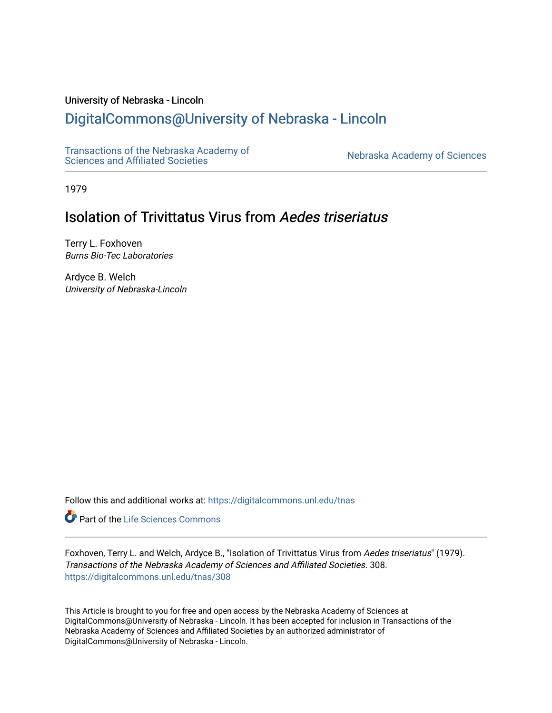# University of Nebraska - Lincoln

# [DigitalCommons@University of Nebraska - Lincoln](https://digitalcommons.unl.edu/)

[Transactions of the Nebraska Academy of](https://digitalcommons.unl.edu/tnas)  Transactions of the Nebraska Academy of Sciences<br>Sciences and Affiliated Societies

1979

# Isolation of Trivittatus Virus from Aedes triseriatus

Terry L. Foxhoven Burns Bio-Tec Laboratories

Ardyce B. Welch University of Nebraska-Lincoln

Follow this and additional works at: [https://digitalcommons.unl.edu/tnas](https://digitalcommons.unl.edu/tnas?utm_source=digitalcommons.unl.edu%2Ftnas%2F308&utm_medium=PDF&utm_campaign=PDFCoverPages) 

**Part of the Life Sciences Commons** 

Foxhoven, Terry L. and Welch, Ardyce B., "Isolation of Trivittatus Virus from Aedes triseriatus" (1979). Transactions of the Nebraska Academy of Sciences and Affiliated Societies. 308. [https://digitalcommons.unl.edu/tnas/308](https://digitalcommons.unl.edu/tnas/308?utm_source=digitalcommons.unl.edu%2Ftnas%2F308&utm_medium=PDF&utm_campaign=PDFCoverPages) 

This Article is brought to you for free and open access by the Nebraska Academy of Sciences at DigitalCommons@University of Nebraska - Lincoln. It has been accepted for inclusion in Transactions of the Nebraska Academy of Sciences and Affiliated Societies by an authorized administrator of DigitalCommons@University of Nebraska - Lincoln.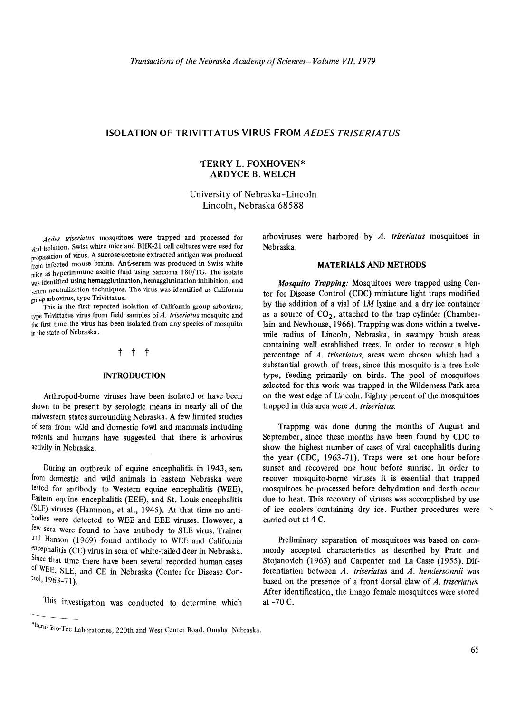# ISOLATION OF TRIVITT ATUS VI RUS FROM *AEDES TRISERIA TUS*

## TERRY L. FOXHOVEN\* ARDYCE B. WELCH

University of Nebraska-Lincoln Lincoln, Nebraska 68588

*Aedes triseriatus* mosquitoes were trapped and processed for viral isolation. Swiss white mice and BHK-21 cell cultures were used for propagation of virus. A sucrose-acetone extracted antigen was produced from infected mouse brains. Anti-serum was produced in Swiss white mice as hyperimmune ascitic fluid using Sarcoma 180/TG. The isolate was identified using hemagglutination, hemagglutination-inhibition, and serum neutralization techniques. The virus was identified as California group arbovirus, type Trivittatus.

This is the first reported isolation of California group arbovirus, type Trivittatus virus from field samples of *A. triseriatus* mosquito and the first time the virus has been isolated from any species of mosquito in the state of Nebraska.

#### t t t

#### INTRODUCTION

Arthropod-borne viruses have been isolated or have been shown to be present by serologic means in nearly all of the midwestern states surrounding Nebraska. A few limited studies of sera from wild and domestic fowl and mammals including rodents and humans have suggested that there is arbovirus activity in Nebraska.

DUring an outbreak of equine encephalitis in 1943, sera from domestic and wild animals in eastern Nebraska were tested for antibody to Western equine encephalitis (WEE), Eastern equine encephalitis (EEE), and St. Louis encephalitis (SLE) viruses (Hammon, et al., 1945). At that time no antibodies were detected to WEE and EEE viruses. However, a few sera were found to have antibody to SLE virus. Trainer and Hanson (1969) found antibody to WEE and California encephalitis (CE) virus in sera of white-tailed deer in Nebraska. Since that time there have been several recorded human cases of WEE, SLE, and CE in Nebraska (Center for Disease Con- $[1963-71]$ .

This investigation was conducted to determine which

arboviruses were harbored by *A. triseriatus* mosquitoes in Nebraska.

## MATERIALS AND METHODS

*Mosquito Trapping:* Mosquitoes were trapped using Center for Disease Control (CDC) miniature light traps modified by the addition of a vial of *1M* lysine and a dry ice container as a source of  $CO<sub>2</sub>$ , attached to the trap cylinder (Chamberlain and Newhouse, 1966). Trapping was done within a twelvemile radius of lincoln, Nebraska, in swampy brush areas containing well established trees. In order to recover a high percentage of *A\_ triseriatus,* areas were chosen which had a substantial growth of trees, since this mosquito is a tree hole type, feeding primarily on birds. The pool of mosquitoes selected for this work was trapped in the Wilderness Park area on the west edge of lincoln. Eighty percent of the mosquitoes trapped in this area were *A. triseriatus.* 

Trapping was done during the months of August and September, since these months have been found by CDC to show the highest number of cases of viral encephalitis during the year (CDC, 1963-71). Traps were set one hour before sunset and recovered one hour before sunrise. In order to recover mosquito-borne viruses it is essential that trapped mosquitoes be processed before dehydration and death occur due to heat. This recovery of viruses was accomplished by use of ice coolers containing dry ice. Further procedures were carried out at 4 C.

Preliminary separation of mosquitoes was based on commonly accepted characteristics as described by Pratt and Stojanovich (I963) and Carpenter and La Casse (1955). Differentiation between *A. triseriatus* and *A. hendersonnii* was based on the presence of a front dorsal claw of *A. triseriatus.*  After identification, the imago female mosquitoes were stored at -70 C.

THIS Investigation was conducted to determine which<br>
'Burns Bio-Tec Laboratories, 220th and West Center Road, Omaha, Nebraska.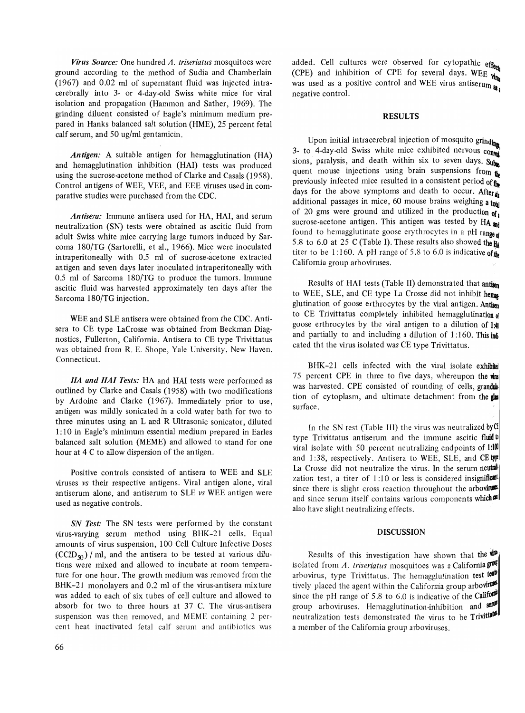*Virus Source:* One hundred *A. triseriatus* mosquitoes were ground according to the method of Sudia and Chamberlain (1967) and 0.02 ml of supernatant fluid was injected intracerebrally into 3- or 4-day-Qld Swiss white mice for viral isolation and propagation (Hammon and Sather, 1969). The grinding diluent consisted of Eagle's minimum medium prepared in Hanks balanced salt solution (HME), 25 percent fetal calf serum, and 50 ug/ml gentamicin.

*Antigen:* A suitable antigen for hemagglutination (HA) and hemagglutination inhibition (HAl) tests was produced using the sucrose-acetone method of Clarke and Casals (1958). Control antigens of WEE, VEE, and EEE viruses used in comparative studies were purchased from the CDC.

*Antisera:* Immune antisera used for HA, HAl, and serum neutralization (SN) tests were obtained as ascitic fluid from adult Swiss white mice carrying large tumors induced by Sarcoma 180/TG (Sartorelli, et al., 1966). Mice were inoculated intraperitoneally with 0.5 ml of sucrose-acetone extracted antigen and seven days later inoculated intraperitoneally with 0.5 ml of Sarcoma 180/TG to produce the tumors. Immune ascitic fluid was harvested approximately ten days after the Sarcoma 180/TG injection.

WEE and SLE antisera were obtained from the CDC. Antisera to CE type LaCrosse was obtained from Beckman Diagnostics, Fullerton, California. Antisera to CE type Trivittatus was obtained from R. E. Shope, Yale University, New Haven, Connecticut.

*HA and HAl Tests:* HA and HAl tests were performed as outlined by Clarke and Casals (1958) with two modifications by Ardoine and Clarke (1967). Immediately prior to use, antigen was mildly sonicated in a cold water bath for two to three minutes using an L and R Ultrasonic sonicator, diluted 1: 10 in Eagle's minimum essential medium prepared in Earles balanced salt solution (MEME) and allowed to stand for one hour at 4 C to allow dispersion of the antigen.

Positive controls consisted of antisera to WEE and SLE viruses *vs* their respective antigens. Viral antigen alone, viral antiserum alone, and antiserum to SLE *vs* WEE antigen were used as negative controls.

*SN Test:* The SN tests were performed by the constant virus-varying serum method using BHK-21 cells. Equal amounts of virus suspension, 100 Cell Culture Infective Doses  $(CCID_{\mathcal{S}})$  / ml, and the antisera to be tested at various dilutions were mixed and allowed to incubate at room temperature for one hour. The growth medium was removed from the BHK-21 monolayers and 0.2 ml of the virus-antisera mixture was added to each of six tubes of cell culture and allowed to absorb for two to three hours at 37 C. The virus-antisera suspension was then removed, and MEME containing 2 percent heat inactivated fetal calf serum and antibiotics was

#### RESULTS

Upon initial intracerebral injection of mosquito grinding 3- to 4-day-old Swiss white mice exhibited nervous  $\overline{_{\text{COMM}}}$ sions, paralysis, and death within six to seven days. Subquent mouse injections using brain suspensions from  $\mathbf{t}_h$ previously infected mice resulted in a consistent period of  $\mathbf{f}_\bullet$ days for the above symptoms and death to occur. After  $\mathbf{r}$ additional passages in mice, 60 mouse brains weighing a tool of 20 gms were ground and utilized in the production of sucrose-acetone antigen. This antigen was tested by  $HA$  and found to hemagglutinate goose erythrocytes in a pH range  $\mathbf{d}$ 5.8 to 6.0 at 25 C (Table I). These results also showed the  $H_{\text{A}}$ titer to be 1:160. A pH range of 5.8 to 6.0 is indicative of the California group arboviruses.

Results of HAl tests (Table II) demonstrated that antlsen to WEE, SLE, and CE type La Crosse did not inhibit hema. glutination of goose erthrocytes by the viral antigen. Antisen to CE Trivittatus completely inhibited hemagglutination of goose erthrocytes by the viral antigen to a dilution of  $1:40$ and partially to and including a dilution of  $1:160$ . This indicated tht the virus isolated was CE type Trivittatus.

BHK-21 cells infected with the viral isolate exhibited 75 percent CPE in three to five days, whereupon the  $\sin$ was harvested. CPE consisted of rounding of cells, grandultion of cytoplasm, and ultimate detachment from the glass surface.

In the SN test (Table III) the virus was neutralized by  $C1$ type Trivittatus antiserum and the immune ascitic fluid to viral isolate with 50 percent neutralizing end points of  $1:100$ and 1:38, respectively. Antisera to WEE, SLE, and CE type La Crosse did not neutralize the virus. In the serum neutralization test, a titer of  $1:10$  or less is considered insignificant since there is slight cross reaction throughout the arbovinus and since serum itself contains various components which  $\mathbf{C}$ also have slight neutralizing effects.

#### DISCUSSION

Results of this investigation have shown that the  $\mathbf{v}$ isolated from *A. triseriatus* mosquitoes was a California grout arbovirus, type Trivittatus. The hemagglutination test tent tively placed the agent within the California group arbovirus since the pH range of 5.8 to 6.0 is indicative of the California group arboviruses. Hemagglutination-inhibition and sell neutralization tests demonstrated the virus to be Trivittatuble a member of the California group arboviruses.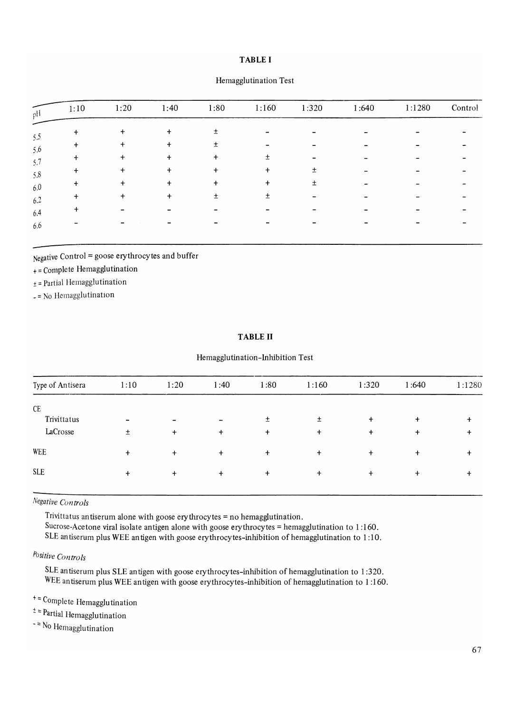## **TABLE I**

| 1:10      | 1:20      | 1:40      | 1:80      | 1:160     | 1:320 | 1:640 | 1:1280 | Control |
|-----------|-----------|-----------|-----------|-----------|-------|-------|--------|---------|
| $\ddot{}$ | +         |           | ±.        |           |       |       |        |         |
|           |           |           | ±         |           |       |       |        |         |
| $\div$    | $\ddot{}$ | $\ddot{}$ | $\ddot{}$ | 土         |       |       |        |         |
|           |           | $\ddot{}$ | $\ddot{}$ | $\ddot{}$ | $\pm$ |       |        |         |
| +         | $\div$    | $\ddot{}$ | $\ddot{}$ | $\ddot{}$ | ±     |       |        |         |
|           | $\ddot{}$ | +         | 土         | 土         |       |       |        |         |
|           |           |           |           |           |       |       |        |         |
|           |           |           |           |           |       |       |        |         |

### Hemagglutination Test

Negative Control = goose erythrocytes and buffer

+ = Complete Hemagglutination

 $±$  = Partial Hemagglutination

\_ = No Hemagglutination

# **TABLE II**

### Hemagglutination-Inhibition Test

| Type of Antisera | 1:10                     | 1:20                     | 1:40      | 1:80      | 1:160     | 1:320     | 1:640     | 1:1280 |
|------------------|--------------------------|--------------------------|-----------|-----------|-----------|-----------|-----------|--------|
| CE               |                          |                          |           |           |           |           |           |        |
| Trivittatus      | $\overline{\phantom{0}}$ | $\overline{\phantom{0}}$ |           | 土         | 土         | $\ddot{}$ | $\ddot{}$ | $+$    |
| LaCrosse         | $\pm$                    | $\ddot{}$                | $\ddot{}$ | $\ddot{}$ | $\ddot{}$ | $\ddag$   | $\ddot{}$ | +      |
| <b>WEE</b>       | $\ddot{}$                | $\ddot{}$                | $\ddot{}$ | $+$       | $\ddot{}$ | $\ddot{}$ | $\ddot{}$ | +      |
| <b>SLE</b>       | $\ddot{}$                | $\ddot{}$                | $\ddot{}$ | $\ddot{}$ | $\ddot{}$ | $\ddot{}$ | $\ddot{}$ |        |

*Negative Controls* 

Trivittatus antiserum alone with goose erythrocytes = no hemagglutination. Sucrose-Acetone viral isolate antigen alone with goose erythrocytes = hemagglutination to 1 :160. SLE antiserum plus WEE an tigen with goose erythrocytes-inhibition of hemagglutination to 1 :10.

# *POsitive Controls*

SLE antiserum plus SLE antigen with goose erythrocytes-inhibition of hemagglutination to 1:320. WEE antiserum plus WEE antigen with goose erythrocytes-inhibition of hemagglutination to 1 :160.

+:: Complete Hemagglutination

 $\pm$  = Partial Hemagglutination

- No Hemagglutination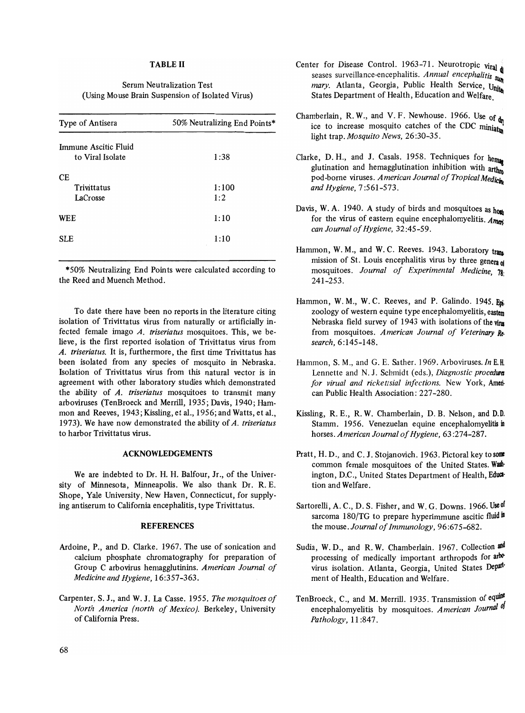### TABLE II

# Serum Neutralization Test (Using Mouse Brain Suspension of Isolated Virus)

| Type of Antisera                         | 50% Neutralizing End Points* |
|------------------------------------------|------------------------------|
| Immune Ascitic Fluid<br>to Viral Isolate | 1:38                         |
| CЕ<br>Trivittatus<br>LaCrosse            | 1:100<br>1:2                 |
| <b>WEE</b>                               | 1:10                         |
| <b>SLE</b>                               | 1:10                         |

\*50% Neutralizing End Points were calculated according to the Reed and Muench Method.

To date there have been no reports in the literature citing isolation of Trivittatus virus from naturally or artificially infected female imago *A. triseriatus* mosquitoes. This, we believe, is the first reported isolation of Trivittatus virus from *A. triseriatus.* It is, furthermore, the first time Trivittatus has been isolated from any species of mosquito in Nebraska. Isolation of Trivittatus virus from this natural vector is in agreement with other laboratory studies which demonstrated the ability of *A. triseriatus* mosquitoes to transmit many arboviruses (TenBroeck and Merrill, 1935; Davis, 1940; Hammon and Reeves, 1943; Kissling, et al., 1956; and Watts, et al., 1973). We have now demonstrated the ability of *A. triseriatus*  to harbor Trivittatus virus.

#### ACKNOWLEDGEMENTS

We are indebted to Dr. H. H. Balfour, Jr., of the University of Minnesota, Minneapolis. We also thank Dr. R. E. Shope, Yale University, New Haven, Connecticut, for supplying antiserum to California encephalitis, type Trivittatus.

### **REFERENCES**

- Ardoine, P., and D. Clarke. 1967. The use of sonication and calcium phosphate chromatography for preparation of Group C arbovirus hemagglutinins. *American Journal of Medicine and Hygiene, 16:357-363.*
- Carpenter, S. J., and W. J. La Casse. 1955. *The mosquitoes of North America (north of Mexico).* Berkeley, University of California Press.
- Center for Disease Control. 1963-71. Neurotropic viral  $_{\text{d}}$ seases surveillance-encephalitis. *Annual encephalitis* sum *mary.* Atlanta, Georgia, Public Health Service, United States Department of Health, Education and Welfare
- Chamberlain, R.W., and V.F. Newhouse. 1966. Use of  $_{\text{dn}}$ ice to increase mosquito catches of the CDC miniature light trap. *Mosquito News,* 26:30-35.
- Clarke, D. H., and J. Casals. 1958. Techniques for  $h_{\text{em}_{\text{div}}}$ glutination and hemagglutination inhibition with arthro pod-borne viruses. American Journal of Tropical Medicin *and Hygiene, 7:561-573.*
- Davis, W. A. 1940. A study of birds and mosquitoes as  $h_{\text{OM}}$ for the virus of eastern equine encephalomyelitis. *Amen can Journal of Hygiene, 32:45-59.*
- Hammon, W. M., and W. C. Reeves. 1943. Laboratory trans mission of St. Louis encephalitis virus by three genera of mosquitoes. *Journal of Experimental Medicine, 78:*  241-253.
- Hammon, W. M., W. C. Reeves, and P. Galindo. 1945. Eni. zoology of western equine type encephalomyelitis, eastem Nebraska field survey of 1943 with isolations of the virus from mosquitoes. *American Journal of Veterinary Research,6:145-148.*
- Hammon, S. M., and G. E. Sather. 1969. Arboviruses. *In* E.R Lennette and N. J. Schmidt (eds.), *Diagnostic procedures for virual and rickettsial infections.* New York, Ameri· can Public Health Association: 227-280.
- Kissling, R. E., R. W. Chamberlain, D. B. Nelson, and D.D. Stamm. 1956. Venezuelan equine encephalomyelitis in horses. *American Journal of Hygiene,* 63 :274-287.
- Pratt, H. D., and C. J. Stojanovich. 1963. Pictoral key to some common female mosquitoes of the United States. Wash· ington, D.C., United States Department of Health, Education and Welfare.
- Sartorelli, A. C., D. S. Fisher, and W. G. Downs. 1966. Use of sarcoma  $180/TG$  to prepare hyperimmune ascitic fluid  $\mu$ the mouse. *Journal of Immunology, 96:675-682.*
- Sudia, W. D., and R. W. Chamberlain. 1967. Collection and processing of medically important arthropods for arbovirus isolation. Atlanta, Georgia, United States Depart· ment of Health, Education and Welfare.
- TenBroeck, C., and M. Merrill. 1935. Transmission of equine encephalomyelitis by mosquitoes. American Journal of *Pathology,* 11 :847.